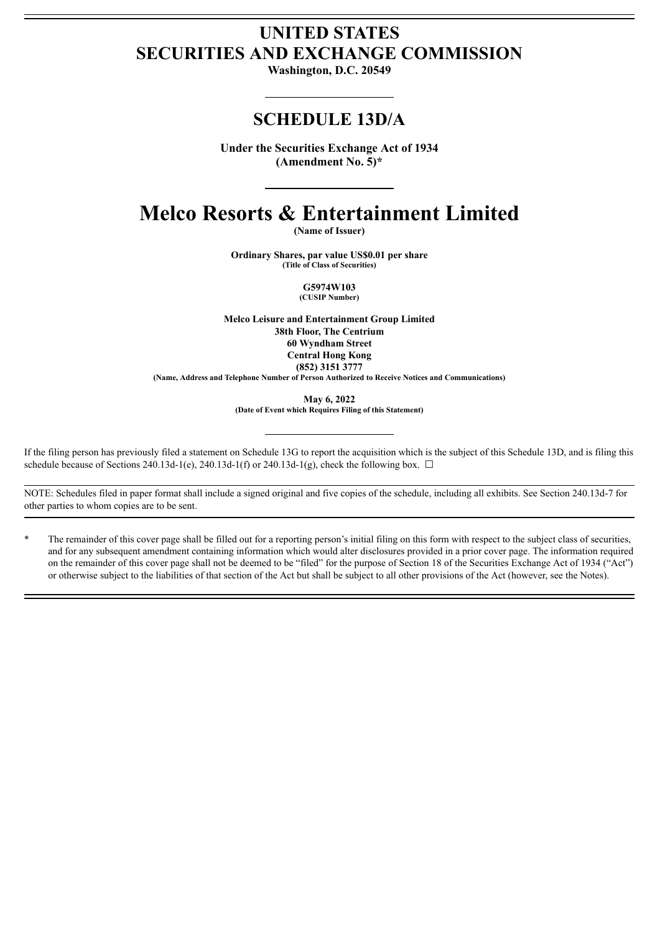# **UNITED STATES SECURITIES AND EXCHANGE COMMISSION**

**Washington, D.C. 20549**

# **SCHEDULE 13D/A**

**Under the Securities Exchange Act of 1934 (Amendment No. 5)\***

# **Melco Resorts & Entertainment Limited**

**(Name of Issuer)**

**Ordinary Shares, par value US\$0.01 per share (Title of Class of Securities)**

> **G5974W103 (CUSIP Number)**

**Melco Leisure and Entertainment Group Limited 38th Floor, The Centrium 60 Wyndham Street Central Hong Kong (852) 3151 3777**

**(Name, Address and Telephone Number of Person Authorized to Receive Notices and Communications)**

**May 6, 2022**

**(Date of Event which Requires Filing of this Statement)**

If the filing person has previously filed a statement on Schedule 13G to report the acquisition which is the subject of this Schedule 13D, and is filing this schedule because of Sections 240.13d-1(e), 240.13d-1(f) or 240.13d-1(g), check the following box.  $\Box$ 

NOTE: Schedules filed in paper format shall include a signed original and five copies of the schedule, including all exhibits. See Section 240.13d-7 for other parties to whom copies are to be sent.

The remainder of this cover page shall be filled out for a reporting person's initial filing on this form with respect to the subject class of securities, and for any subsequent amendment containing information which would alter disclosures provided in a prior cover page. The information required on the remainder of this cover page shall not be deemed to be "filed" for the purpose of Section 18 of the Securities Exchange Act of 1934 ("Act") or otherwise subject to the liabilities of that section of the Act but shall be subject to all other provisions of the Act (however, see the Notes).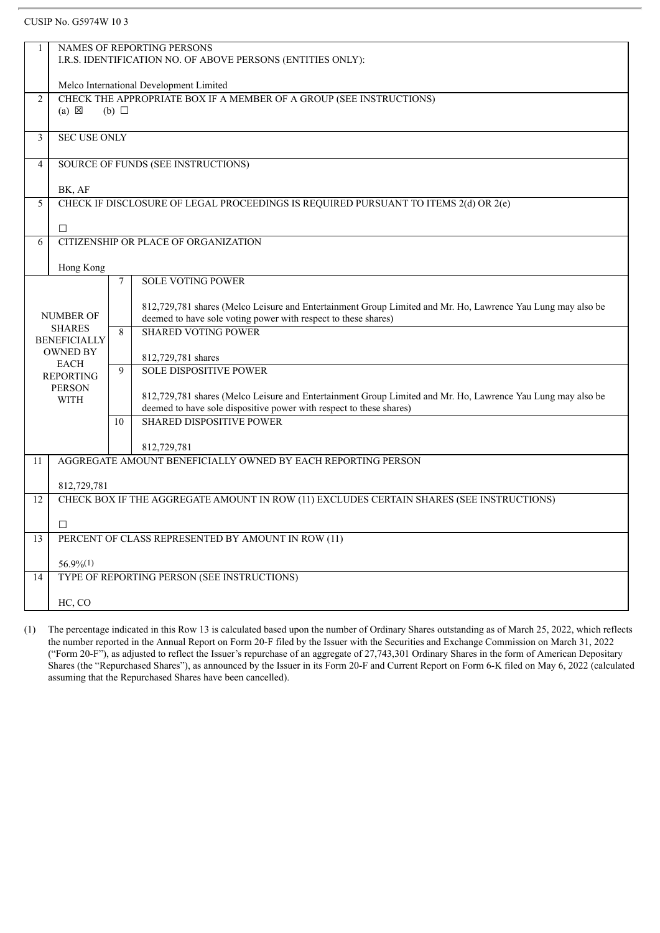#### CUSIP No. G5974W 10 3

|                | NAMES OF REPORTING PERSONS                                                                                                 |  |  |  |  |  |
|----------------|----------------------------------------------------------------------------------------------------------------------------|--|--|--|--|--|
|                | I.R.S. IDENTIFICATION NO. OF ABOVE PERSONS (ENTITIES ONLY):                                                                |  |  |  |  |  |
|                |                                                                                                                            |  |  |  |  |  |
|                | Melco International Development Limited                                                                                    |  |  |  |  |  |
| $\overline{2}$ | CHECK THE APPROPRIATE BOX IF A MEMBER OF A GROUP (SEE INSTRUCTIONS)                                                        |  |  |  |  |  |
|                | $(a) \boxtimes$<br>(b) $\Box$                                                                                              |  |  |  |  |  |
|                |                                                                                                                            |  |  |  |  |  |
|                | <b>SEC USE ONLY</b>                                                                                                        |  |  |  |  |  |
| 3              |                                                                                                                            |  |  |  |  |  |
|                |                                                                                                                            |  |  |  |  |  |
| 4              | SOURCE OF FUNDS (SEE INSTRUCTIONS)                                                                                         |  |  |  |  |  |
|                |                                                                                                                            |  |  |  |  |  |
|                | BK, AF                                                                                                                     |  |  |  |  |  |
| 5              | CHECK IF DISCLOSURE OF LEGAL PROCEEDINGS IS REQUIRED PURSUANT TO ITEMS 2(d) OR 2(e)                                        |  |  |  |  |  |
|                |                                                                                                                            |  |  |  |  |  |
|                | $\Box$                                                                                                                     |  |  |  |  |  |
|                |                                                                                                                            |  |  |  |  |  |
| 6              | CITIZENSHIP OR PLACE OF ORGANIZATION                                                                                       |  |  |  |  |  |
|                |                                                                                                                            |  |  |  |  |  |
|                | Hong Kong                                                                                                                  |  |  |  |  |  |
|                | <b>SOLE VOTING POWER</b><br>$\tau$                                                                                         |  |  |  |  |  |
|                |                                                                                                                            |  |  |  |  |  |
|                | 812,729,781 shares (Melco Leisure and Entertainment Group Limited and Mr. Ho, Lawrence Yau Lung may also be                |  |  |  |  |  |
|                | NUMBER OF<br>deemed to have sole voting power with respect to these shares)                                                |  |  |  |  |  |
|                | <b>SHARES</b><br><b>SHARED VOTING POWER</b><br>8                                                                           |  |  |  |  |  |
|                | <b>BENEFICIALLY</b>                                                                                                        |  |  |  |  |  |
|                | <b>OWNED BY</b>                                                                                                            |  |  |  |  |  |
|                | 812,729,781 shares<br><b>EACH</b>                                                                                          |  |  |  |  |  |
|                | <b>SOLE DISPOSITIVE POWER</b><br>9<br><b>REPORTING</b>                                                                     |  |  |  |  |  |
|                | <b>PERSON</b>                                                                                                              |  |  |  |  |  |
|                | 812,729,781 shares (Melco Leisure and Entertainment Group Limited and Mr. Ho, Lawrence Yau Lung may also be<br><b>WITH</b> |  |  |  |  |  |
|                | deemed to have sole dispositive power with respect to these shares)                                                        |  |  |  |  |  |
|                | <b>SHARED DISPOSITIVE POWER</b><br>10                                                                                      |  |  |  |  |  |
|                |                                                                                                                            |  |  |  |  |  |
|                | 812,729,781                                                                                                                |  |  |  |  |  |
|                | AGGREGATE AMOUNT BENEFICIALLY OWNED BY EACH REPORTING PERSON                                                               |  |  |  |  |  |
| 11             |                                                                                                                            |  |  |  |  |  |
|                |                                                                                                                            |  |  |  |  |  |
|                | 812,729,781                                                                                                                |  |  |  |  |  |
| 12             | CHECK BOX IF THE AGGREGATE AMOUNT IN ROW (11) EXCLUDES CERTAIN SHARES (SEE INSTRUCTIONS)                                   |  |  |  |  |  |
|                |                                                                                                                            |  |  |  |  |  |
|                | □                                                                                                                          |  |  |  |  |  |
| 13             | PERCENT OF CLASS REPRESENTED BY AMOUNT IN ROW (11)                                                                         |  |  |  |  |  |
|                |                                                                                                                            |  |  |  |  |  |
|                | $56.9\%(1)$                                                                                                                |  |  |  |  |  |
|                |                                                                                                                            |  |  |  |  |  |
| 14             | TYPE OF REPORTING PERSON (SEE INSTRUCTIONS)                                                                                |  |  |  |  |  |
|                |                                                                                                                            |  |  |  |  |  |
|                | HC, CO                                                                                                                     |  |  |  |  |  |
|                |                                                                                                                            |  |  |  |  |  |

(1) The percentage indicated in this Row 13 is calculated based upon the number of Ordinary Shares outstanding as of March 25, 2022, which reflects the number reported in the Annual Report on Form 20-F filed by the Issuer with the Securities and Exchange Commission on March 31, 2022 ("Form 20-F"), as adjusted to reflect the Issuer's repurchase of an aggregate of 27,743,301 Ordinary Shares in the form of American Depositary Shares (the "Repurchased Shares"), as announced by the Issuer in its Form 20-F and Current Report on Form 6-K filed on May 6, 2022 (calculated assuming that the Repurchased Shares have been cancelled).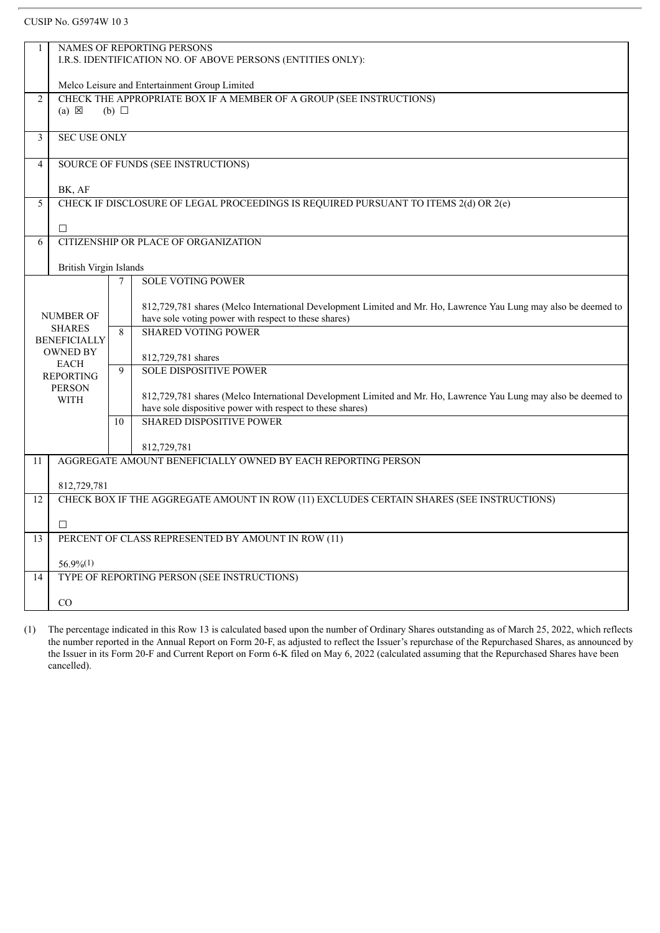## CUSIP No. G5974W 10 3

|                |                                                             | NAMES OF REPORTING PERSONS                                                                                      |  |  |  |  |  |
|----------------|-------------------------------------------------------------|-----------------------------------------------------------------------------------------------------------------|--|--|--|--|--|
|                | I.R.S. IDENTIFICATION NO. OF ABOVE PERSONS (ENTITIES ONLY): |                                                                                                                 |  |  |  |  |  |
|                |                                                             |                                                                                                                 |  |  |  |  |  |
|                |                                                             | Melco Leisure and Entertainment Group Limited                                                                   |  |  |  |  |  |
| $\overline{2}$ |                                                             | CHECK THE APPROPRIATE BOX IF A MEMBER OF A GROUP (SEE INSTRUCTIONS)                                             |  |  |  |  |  |
|                | $(a) \boxtimes$                                             | (b) $\Box$                                                                                                      |  |  |  |  |  |
|                |                                                             |                                                                                                                 |  |  |  |  |  |
| 3              | <b>SEC USE ONLY</b>                                         |                                                                                                                 |  |  |  |  |  |
|                |                                                             |                                                                                                                 |  |  |  |  |  |
| 4              |                                                             | SOURCE OF FUNDS (SEE INSTRUCTIONS)                                                                              |  |  |  |  |  |
|                |                                                             |                                                                                                                 |  |  |  |  |  |
| 5              | BK, AF                                                      | CHECK IF DISCLOSURE OF LEGAL PROCEEDINGS IS REQUIRED PURSUANT TO ITEMS 2(d) OR 2(e)                             |  |  |  |  |  |
|                |                                                             |                                                                                                                 |  |  |  |  |  |
|                | $\Box$                                                      |                                                                                                                 |  |  |  |  |  |
| 6              |                                                             | CITIZENSHIP OR PLACE OF ORGANIZATION                                                                            |  |  |  |  |  |
|                |                                                             |                                                                                                                 |  |  |  |  |  |
|                | British Virgin Islands                                      |                                                                                                                 |  |  |  |  |  |
|                |                                                             | <b>SOLE VOTING POWER</b><br>7                                                                                   |  |  |  |  |  |
|                |                                                             |                                                                                                                 |  |  |  |  |  |
|                |                                                             | 812,729,781 shares (Melco International Development Limited and Mr. Ho, Lawrence Yau Lung may also be deemed to |  |  |  |  |  |
|                | <b>NUMBER OF</b>                                            | have sole voting power with respect to these shares)                                                            |  |  |  |  |  |
|                | <b>SHARES</b>                                               | <b>SHARED VOTING POWER</b><br>8                                                                                 |  |  |  |  |  |
|                | <b>BENEFICIALLY</b>                                         |                                                                                                                 |  |  |  |  |  |
|                | <b>OWNED BY</b><br><b>EACH</b>                              | 812,729,781 shares                                                                                              |  |  |  |  |  |
|                | <b>REPORTING</b>                                            | <b>SOLE DISPOSITIVE POWER</b><br>9                                                                              |  |  |  |  |  |
|                | <b>PERSON</b>                                               |                                                                                                                 |  |  |  |  |  |
|                | <b>WITH</b>                                                 | 812,729,781 shares (Melco International Development Limited and Mr. Ho, Lawrence Yau Lung may also be deemed to |  |  |  |  |  |
|                |                                                             | have sole dispositive power with respect to these shares)                                                       |  |  |  |  |  |
|                |                                                             | <b>SHARED DISPOSITIVE POWER</b><br>10                                                                           |  |  |  |  |  |
|                |                                                             |                                                                                                                 |  |  |  |  |  |
|                |                                                             | 812,729,781                                                                                                     |  |  |  |  |  |
| 11             |                                                             | AGGREGATE AMOUNT BENEFICIALLY OWNED BY EACH REPORTING PERSON                                                    |  |  |  |  |  |
|                | 812,729,781                                                 |                                                                                                                 |  |  |  |  |  |
| 12             |                                                             | CHECK BOX IF THE AGGREGATE AMOUNT IN ROW (11) EXCLUDES CERTAIN SHARES (SEE INSTRUCTIONS)                        |  |  |  |  |  |
|                |                                                             |                                                                                                                 |  |  |  |  |  |
|                | □                                                           |                                                                                                                 |  |  |  |  |  |
| 13             |                                                             | PERCENT OF CLASS REPRESENTED BY AMOUNT IN ROW (11)                                                              |  |  |  |  |  |
|                |                                                             |                                                                                                                 |  |  |  |  |  |
|                | $56.9\%$ <sup>(1)</sup>                                     |                                                                                                                 |  |  |  |  |  |
| 14             |                                                             | TYPE OF REPORTING PERSON (SEE INSTRUCTIONS)                                                                     |  |  |  |  |  |
|                |                                                             |                                                                                                                 |  |  |  |  |  |
|                | CO                                                          |                                                                                                                 |  |  |  |  |  |
|                |                                                             |                                                                                                                 |  |  |  |  |  |

(1) The percentage indicated in this Row 13 is calculated based upon the number of Ordinary Shares outstanding as of March 25, 2022, which reflects the number reported in the Annual Report on Form 20-F, as adjusted to reflect the Issuer's repurchase of the Repurchased Shares, as announced by the Issuer in its Form 20-F and Current Report on Form 6-K filed on May 6, 2022 (calculated assuming that the Repurchased Shares have been cancelled).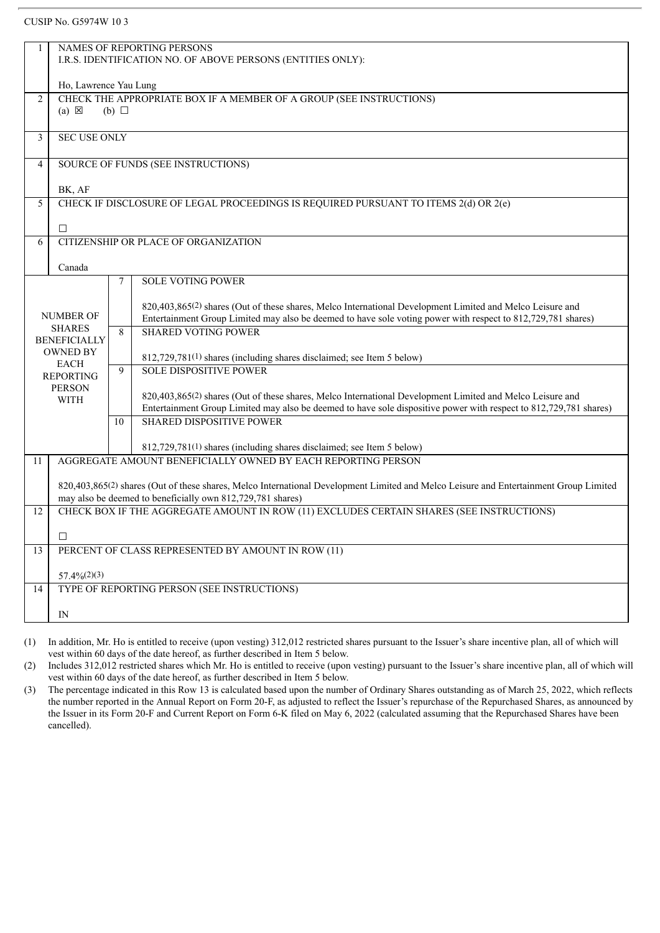#### CUSIP No. G5974W 10 3

|                     |                                 |                 | <b>NAMES OF REPORTING PERSONS</b>                                                                                                                                                                   |
|---------------------|---------------------------------|-----------------|-----------------------------------------------------------------------------------------------------------------------------------------------------------------------------------------------------|
|                     |                                 |                 | I.R.S. IDENTIFICATION NO. OF ABOVE PERSONS (ENTITIES ONLY):                                                                                                                                         |
|                     |                                 |                 |                                                                                                                                                                                                     |
|                     | Ho, Lawrence Yau Lung           |                 |                                                                                                                                                                                                     |
| $\overline{2}$      |                                 |                 | CHECK THE APPROPRIATE BOX IF A MEMBER OF A GROUP (SEE INSTRUCTIONS)                                                                                                                                 |
|                     | $(a) \boxtimes$                 | $(b)$ $\square$ |                                                                                                                                                                                                     |
|                     |                                 |                 |                                                                                                                                                                                                     |
| 3                   | <b>SEC USE ONLY</b>             |                 |                                                                                                                                                                                                     |
|                     |                                 |                 |                                                                                                                                                                                                     |
| 4                   |                                 |                 | SOURCE OF FUNDS (SEE INSTRUCTIONS)                                                                                                                                                                  |
|                     |                                 |                 |                                                                                                                                                                                                     |
|                     | BK, AF                          |                 |                                                                                                                                                                                                     |
| 5                   |                                 |                 | CHECK IF DISCLOSURE OF LEGAL PROCEEDINGS IS REQUIRED PURSUANT TO ITEMS 2(d) OR 2(e)                                                                                                                 |
|                     |                                 |                 |                                                                                                                                                                                                     |
| $\Box$<br>6         |                                 |                 | CITIZENSHIP OR PLACE OF ORGANIZATION                                                                                                                                                                |
|                     |                                 |                 |                                                                                                                                                                                                     |
|                     | Canada                          |                 |                                                                                                                                                                                                     |
|                     |                                 | 7               | <b>SOLE VOTING POWER</b>                                                                                                                                                                            |
|                     |                                 |                 |                                                                                                                                                                                                     |
|                     |                                 |                 | 820,403,865(2) shares (Out of these shares, Melco International Development Limited and Melco Leisure and                                                                                           |
|                     | <b>NUMBER OF</b>                |                 | Entertainment Group Limited may also be deemed to have sole voting power with respect to 812,729,781 shares)                                                                                        |
|                     | <b>SHARES</b>                   | 8               | <b>SHARED VOTING POWER</b>                                                                                                                                                                          |
| <b>BENEFICIALLY</b> |                                 |                 |                                                                                                                                                                                                     |
|                     | <b>OWNED BY</b>                 |                 | 812,729,781(1) shares (including shares disclaimed; see Item 5 below)                                                                                                                               |
|                     | <b>EACH</b><br><b>REPORTING</b> | 9               | <b>SOLE DISPOSITIVE POWER</b>                                                                                                                                                                       |
|                     | <b>PERSON</b>                   |                 |                                                                                                                                                                                                     |
|                     | <b>WITH</b>                     |                 | 820,403,865(2) shares (Out of these shares, Melco International Development Limited and Melco Leisure and                                                                                           |
|                     |                                 |                 | Entertainment Group Limited may also be deemed to have sole dispositive power with respect to 812,729,781 shares)                                                                                   |
|                     |                                 | 10              | <b>SHARED DISPOSITIVE POWER</b>                                                                                                                                                                     |
|                     |                                 |                 |                                                                                                                                                                                                     |
|                     |                                 |                 | 812,729,781(1) shares (including shares disclaimed; see Item 5 below)                                                                                                                               |
| 11                  |                                 |                 | AGGREGATE AMOUNT BENEFICIALLY OWNED BY EACH REPORTING PERSON                                                                                                                                        |
|                     |                                 |                 |                                                                                                                                                                                                     |
|                     |                                 |                 | 820,403,865(2) shares (Out of these shares, Melco International Development Limited and Melco Leisure and Entertainment Group Limited<br>may also be deemed to beneficially own 812,729,781 shares) |
|                     |                                 |                 | CHECK BOX IF THE AGGREGATE AMOUNT IN ROW (11) EXCLUDES CERTAIN SHARES (SEE INSTRUCTIONS)                                                                                                            |
| 12                  |                                 |                 |                                                                                                                                                                                                     |
| $\Box$              |                                 |                 |                                                                                                                                                                                                     |
| 13                  |                                 |                 | PERCENT OF CLASS REPRESENTED BY AMOUNT IN ROW (11)                                                                                                                                                  |
|                     |                                 |                 |                                                                                                                                                                                                     |
|                     | $57.4\%(2)(3)$                  |                 |                                                                                                                                                                                                     |
| 14                  |                                 |                 | TYPE OF REPORTING PERSON (SEE INSTRUCTIONS)                                                                                                                                                         |
|                     |                                 |                 |                                                                                                                                                                                                     |
| IN                  |                                 |                 |                                                                                                                                                                                                     |
|                     |                                 |                 |                                                                                                                                                                                                     |

(1) In addition, Mr. Ho is entitled to receive (upon vesting) 312,012 restricted shares pursuant to the Issuer's share incentive plan, all of which will vest within 60 days of the date hereof, as further described in Item 5 below.

(2) Includes 312,012 restricted shares which Mr. Ho is entitled to receive (upon vesting) pursuant to the Issuer's share incentive plan, all of which will vest within 60 days of the date hereof, as further described in Item 5 below.

(3) The percentage indicated in this Row 13 is calculated based upon the number of Ordinary Shares outstanding as of March 25, 2022, which reflects the number reported in the Annual Report on Form 20-F, as adjusted to reflect the Issuer's repurchase of the Repurchased Shares, as announced by the Issuer in its Form 20-F and Current Report on Form 6-K filed on May 6, 2022 (calculated assuming that the Repurchased Shares have been cancelled).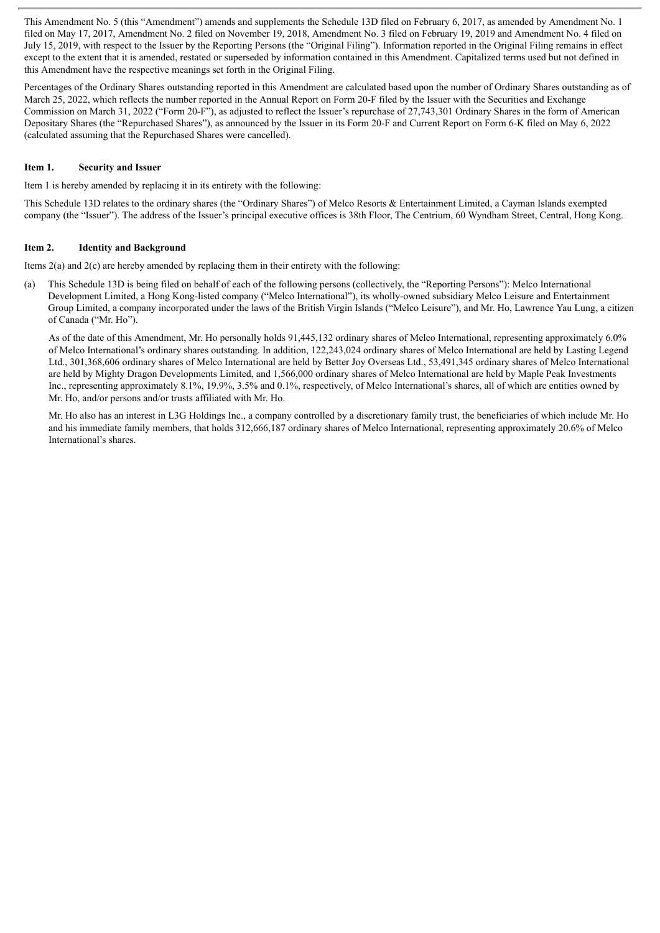This Amendment No. 5 (this "Amendment") amends and supplements the Schedule 13D filed on February 6, 2017, as amended by Amendment No. 1 filed on May 17, 2017, Amendment No. 2 filed on November 19, 2018, Amendment No. 3 filed on February 19, 2019 and Amendment No. 4 filed on July 15, 2019, with respect to the Issuer by the Reporting Persons (the "Original Filing"). Information reported in the Original Filing remains in effect except to the extent that it is amended, restated or superseded by information contained in this Amendment. Capitalized terms used but not defined in this Amendment have the respective meanings set forth in the Original Filing.

Percentages of the Ordinary Shares outstanding reported in this Amendment are calculated based upon the number of Ordinary Shares outstanding as of March 25, 2022, which reflects the number reported in the Annual Report on Form 20-F filed by the Issuer with the Securities and Exchange Commission on March 31, 2022 ("Form 20-F"), as adjusted to reflect the Issuer's repurchase of 27,743,301 Ordinary Shares in the form of American Depositary Shares (the "Repurchased Shares"), as announced by the Issuer in its Form 20-F and Current Report on Form 6-K filed on May 6, 2022 (calculated assuming that the Repurchased Shares were cancelled).

#### **Item 1. Security and Issuer**

Item 1 is hereby amended by replacing it in its entirety with the following:

This Schedule 13D relates to the ordinary shares (the "Ordinary Shares") of Melco Resorts & Entertainment Limited, a Cayman Islands exempted company (the "Issuer"). The address of the Issuer's principal executive offices is 38th Floor, The Centrium, 60 Wyndham Street, Central, Hong Kong.

#### **Item 2. Identity and Background**

Items 2(a) and 2(c) are hereby amended by replacing them in their entirety with the following:

(a) This Schedule 13D is being filed on behalf of each of the following persons (collectively, the "Reporting Persons"): Melco International Development Limited, a Hong Kong-listed company ("Melco International"), its wholly-owned subsidiary Melco Leisure and Entertainment Group Limited, a company incorporated under the laws of the British Virgin Islands ("Melco Leisure"), and Mr. Ho, Lawrence Yau Lung, a citizen of Canada ("Mr. Ho").

As of the date of this Amendment, Mr. Ho personally holds 91,445,132 ordinary shares of Melco International, representing approximately 6.0% of Melco International's ordinary shares outstanding. In addition, 122,243,024 ordinary shares of Melco International are held by Lasting Legend Ltd., 301,368,606 ordinary shares of Melco International are held by Better Joy Overseas Ltd., 53,491,345 ordinary shares of Melco International are held by Mighty Dragon Developments Limited, and 1,566,000 ordinary shares of Melco International are held by Maple Peak Investments Inc., representing approximately 8.1%, 19.9%, 3.5% and 0.1%, respectively, of Melco International's shares, all of which are entities owned by Mr. Ho, and/or persons and/or trusts affiliated with Mr. Ho.

Mr. Ho also has an interest in L3G Holdings Inc., a company controlled by a discretionary family trust, the beneficiaries of which include Mr. Ho and his immediate family members, that holds 312,666,187 ordinary shares of Melco International, representing approximately 20.6% of Melco International's shares.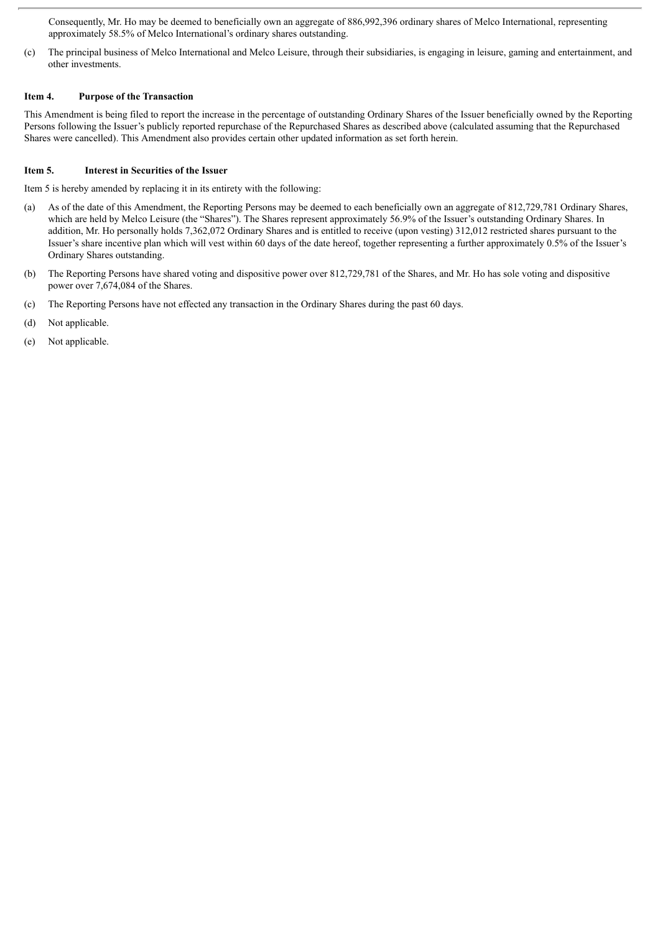Consequently, Mr. Ho may be deemed to beneficially own an aggregate of 886,992,396 ordinary shares of Melco International, representing approximately 58.5% of Melco International's ordinary shares outstanding.

(c) The principal business of Melco International and Melco Leisure, through their subsidiaries, is engaging in leisure, gaming and entertainment, and other investments.

#### **Item 4. Purpose of the Transaction**

This Amendment is being filed to report the increase in the percentage of outstanding Ordinary Shares of the Issuer beneficially owned by the Reporting Persons following the Issuer's publicly reported repurchase of the Repurchased Shares as described above (calculated assuming that the Repurchased Shares were cancelled). This Amendment also provides certain other updated information as set forth herein.

#### **Item 5. Interest in Securities of the Issuer**

Item 5 is hereby amended by replacing it in its entirety with the following:

- (a) As of the date of this Amendment, the Reporting Persons may be deemed to each beneficially own an aggregate of 812,729,781 Ordinary Shares, which are held by Melco Leisure (the "Shares"). The Shares represent approximately 56.9% of the Issuer's outstanding Ordinary Shares. In addition, Mr. Ho personally holds 7,362,072 Ordinary Shares and is entitled to receive (upon vesting) 312,012 restricted shares pursuant to the Issuer's share incentive plan which will vest within 60 days of the date hereof, together representing a further approximately 0.5% of the Issuer's Ordinary Shares outstanding.
- (b) The Reporting Persons have shared voting and dispositive power over 812,729,781 of the Shares, and Mr. Ho has sole voting and dispositive power over 7,674,084 of the Shares.
- (c) The Reporting Persons have not effected any transaction in the Ordinary Shares during the past 60 days.
- (d) Not applicable.
- (e) Not applicable.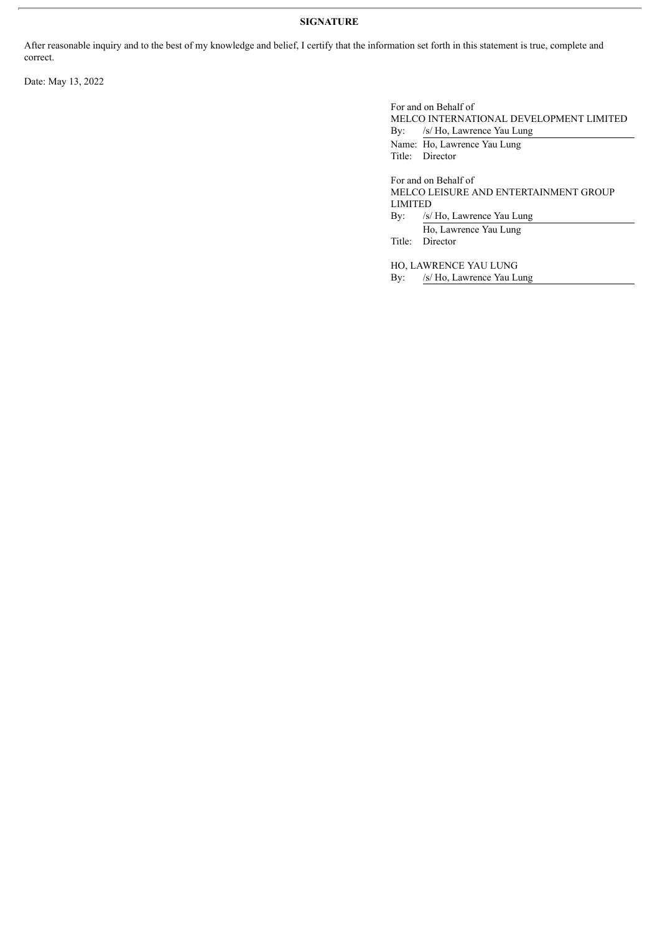## **SIGNATURE**

After reasonable inquiry and to the best of my knowledge and belief, I certify that the information set forth in this statement is true, complete and correct.

Date: May 13, 2022

For and on Behalf of MELCO INTERNATIONAL DEVELOPMENT LIMITED By: /s/ Ho, Lawrence Yau Lung Name: Ho, Lawrence Yau Lung Title: Director For and on Behalf of MELCO LEISURE AND ENTERTAINMENT GROUP LIMITED By: /s/ Ho, Lawrence Yau Lung Ho, Lawrence Yau Lung Title: Director HO, LAWRENCE YAU LUNG By: /s/ Ho, Lawrence Yau Lung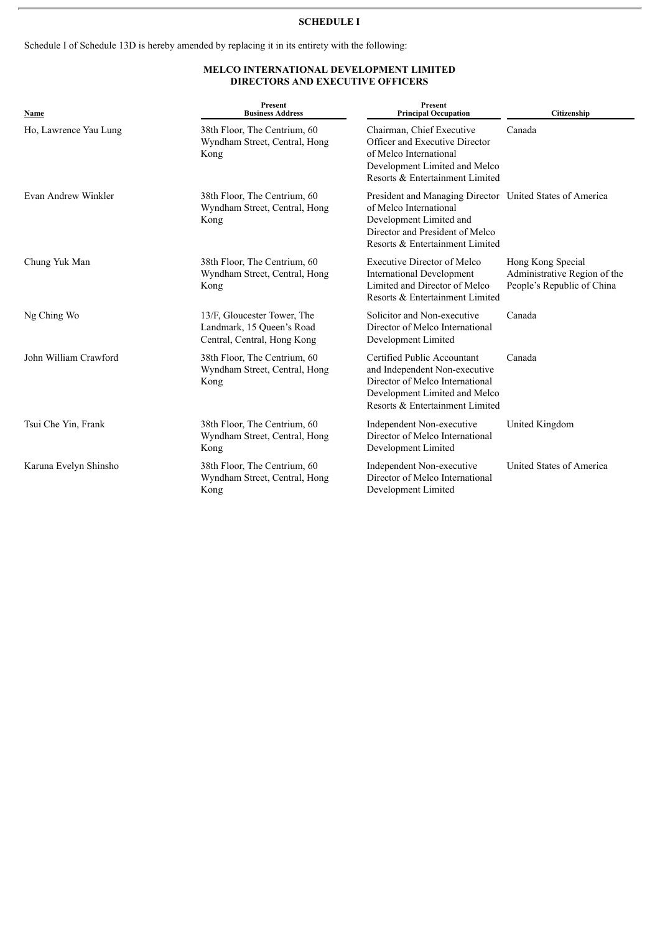### **SCHEDULE I**

Schedule I of Schedule 13D is hereby amended by replacing it in its entirety with the following:

# **MELCO INTERNATIONAL DEVELOPMENT LIMITED DIRECTORS AND EXECUTIVE OFFICERS**

| Name                  | <b>Present</b><br><b>Business Address</b>                                               | <b>Present</b><br><b>Principal Occupation</b>                                                                                                                                       | Citizenship                                                                     |
|-----------------------|-----------------------------------------------------------------------------------------|-------------------------------------------------------------------------------------------------------------------------------------------------------------------------------------|---------------------------------------------------------------------------------|
| Ho, Lawrence Yau Lung | 38th Floor, The Centrium, 60<br>Wyndham Street, Central, Hong<br>Kong                   | Chairman, Chief Executive<br>Officer and Executive Director<br>of Melco International<br>Development Limited and Melco<br>Resorts & Entertainment Limited                           | Canada                                                                          |
| Evan Andrew Winkler   | 38th Floor, The Centrium, 60<br>Wyndham Street, Central, Hong<br>Kong                   | President and Managing Director United States of America<br>of Melco International<br>Development Limited and<br>Director and President of Melco<br>Resorts & Entertainment Limited |                                                                                 |
| Chung Yuk Man         | 38th Floor, The Centrium, 60<br>Wyndham Street, Central, Hong<br>Kong                   | <b>Executive Director of Melco</b><br><b>International Development</b><br>Limited and Director of Melco<br>Resorts & Entertainment Limited                                          | Hong Kong Special<br>Administrative Region of the<br>People's Republic of China |
| Ng Ching Wo           | 13/F, Gloucester Tower, The<br>Landmark, 15 Queen's Road<br>Central, Central, Hong Kong | Solicitor and Non-executive<br>Director of Melco International<br>Development Limited                                                                                               | Canada                                                                          |
| John William Crawford | 38th Floor, The Centrium, 60<br>Wyndham Street, Central, Hong<br>Kong                   | Certified Public Accountant<br>and Independent Non-executive<br>Director of Melco International<br>Development Limited and Melco<br>Resorts & Entertainment Limited                 | Canada                                                                          |
| Tsui Che Yin, Frank   | 38th Floor, The Centrium, 60<br>Wyndham Street, Central, Hong<br>Kong                   | Independent Non-executive<br>Director of Melco International<br>Development Limited                                                                                                 | United Kingdom                                                                  |
| Karuna Evelyn Shinsho | 38th Floor, The Centrium, 60<br>Wyndham Street, Central, Hong<br>Kong                   | Independent Non-executive<br>Director of Melco International<br>Development Limited                                                                                                 | United States of America                                                        |